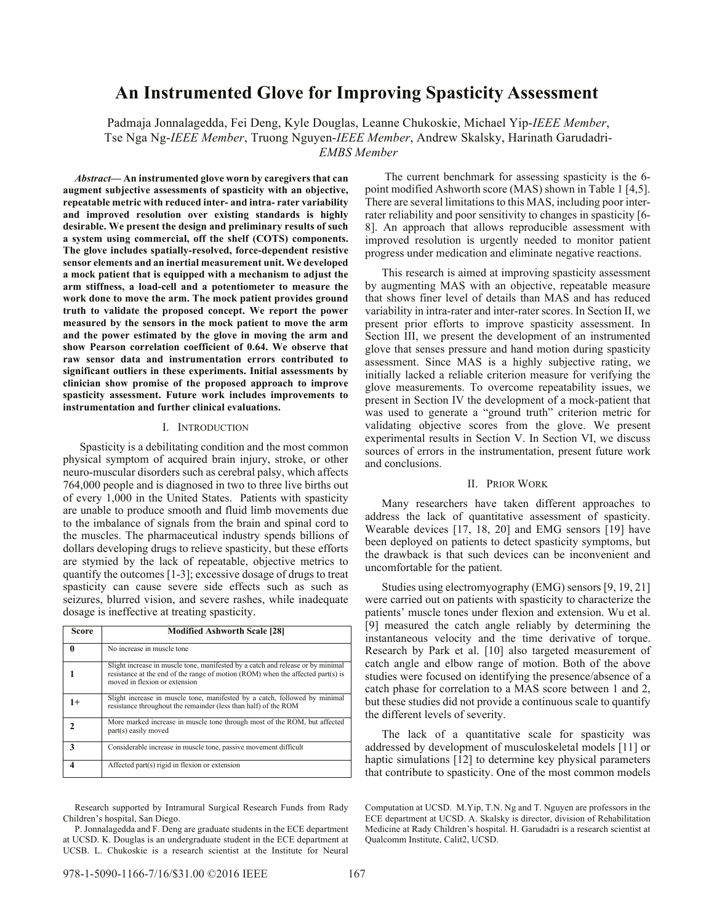# **An Instrumented Glove for Improving Spasticity Assessment**

Padmaja Jonnalagedda, Fei Deng, Kyle Douglas, Leanne Chukoskie, Michael Yip-*IEEE Member*, Tse Nga Ng-*IEEE Member*, Truong Nguyen-*IEEE Member*, Andrew Skalsky, Harinath Garudadri-*EMBS Member*

*Abstract***— An instrumented glove worn by caregivers that can augment subjective assessments of spasticity with an objective, repeatable metric with reduced inter- and intra- rater variability and improved resolution over existing standards is highly desirable. We present the design and preliminary results of such a system using commercial, off the shelf (COTS) components. The glove includes spatially-resolved, force-dependent resistive sensor elements and an inertial measurement unit. We developed a mock patient that is equipped with a mechanism to adjust the arm stiffness, a load-cell and a potentiometer to measure the work done to move the arm. The mock patient provides ground truth to validate the proposed concept. We report the power measured by the sensors in the mock patient to move the arm and the power estimated by the glove in moving the arm and show Pearson correlation coefficient of 0.64. We observe that raw sensor data and instrumentation errors contributed to significant outliers in these experiments. Initial assessments by clinician show promise of the proposed approach to improve spasticity assessment. Future work includes improvements to instrumentation and further clinical evaluations.** 

# I. INTRODUCTION

Spasticity is a debilitating condition and the most common physical symptom of acquired brain injury, stroke, or other neuro-muscular disorders such as cerebral palsy, which affects 764,000 people and is diagnosed in two to three live births out of every 1,000 in the United States. Patients with spasticity are unable to produce smooth and fluid limb movements due to the imbalance of signals from the brain and spinal cord to the muscles. The pharmaceutical industry spends billions of dollars developing drugs to relieve spasticity, but these efforts are stymied by the lack of repeatable, objective metrics to quantify the outcomes [1-3]; excessive dosage of drugs to treat spasticity can cause severe side effects such as such as seizures, blurred vision, and severe rashes, while inadequate dosage is ineffective at treating spasticity.

| Score        | <b>Modified Ashworth Scale [28]</b>                                                                                                                                                                 |
|--------------|-----------------------------------------------------------------------------------------------------------------------------------------------------------------------------------------------------|
| $\mathbf{0}$ | No increase in muscle tone                                                                                                                                                                          |
|              | Slight increase in muscle tone, manifested by a catch and release or by minimal<br>resistance at the end of the range of motion (ROM) when the affected part(s) is<br>moved in flexion or extension |
| $1+$         | Slight increase in muscle tone, manifested by a catch, followed by minimal<br>resistance throughout the remainder (less than half) of the ROM                                                       |
|              | More marked increase in muscle tone through most of the ROM, but affected<br>part(s) easily moved                                                                                                   |
| 3            | Considerable increase in muscle tone, passive movement difficult                                                                                                                                    |
|              | Affected part(s) rigid in flexion or extension                                                                                                                                                      |

Research supported by Intramural Surgical Research Funds from Rady Children's hospital, San Diego.

 The current benchmark for assessing spasticity is the 6 point modified Ashworth score (MAS) shown in Table 1 [4,5]. There are several limitations to this MAS, including poor interrater reliability and poor sensitivity to changes in spasticity [6- 8]. An approach that allows reproducible assessment with improved resolution is urgently needed to monitor patient progress under medication and eliminate negative reactions.

This research is aimed at improving spasticity assessment by augmenting MAS with an objective, repeatable measure that shows finer level of details than MAS and has reduced variability in intra-rater and inter-rater scores. In Section II, we present prior efforts to improve spasticity assessment. In Section III, we present the development of an instrumented glove that senses pressure and hand motion during spasticity assessment. Since MAS is a highly subjective rating, we initially lacked a reliable criterion measure for verifying the glove measurements. To overcome repeatability issues, we present in Section IV the development of a mock-patient that was used to generate a "ground truth" criterion metric for validating objective scores from the glove. We present experimental results in Section V. In Section VI, we discuss sources of errors in the instrumentation, present future work and conclusions.

### II. PRIOR WORK

Many researchers have taken different approaches to address the lack of quantitative assessment of spasticity. Wearable devices [17, 18, 20] and EMG sensors [19] have been deployed on patients to detect spasticity symptoms, but the drawback is that such devices can be inconvenient and uncomfortable for the patient.

Studies using electromyography (EMG) sensors [9, 19, 21] were carried out on patients with spasticity to characterize the patients' muscle tones under flexion and extension. Wu et al. [9] measured the catch angle reliably by determining the instantaneous velocity and the time derivative of torque. Research by Park et al. [10] also targeted measurement of catch angle and elbow range of motion. Both of the above studies were focused on identifying the presence/absence of a catch phase for correlation to a MAS score between 1 and 2, but these studies did not provide a continuous scale to quantify the different levels of severity.

The lack of a quantitative scale for spasticity was addressed by development of musculoskeletal models [11] or haptic simulations [12] to determine key physical parameters that contribute to spasticity. One of the most common models

P. Jonnalagedda and F. Deng are graduate students in the ECE department at UCSD. K. Douglas is an undergraduate student in the ECE department at UCSB. L. Chukoskie is a research scientist at the Institute for Neural

Computation at UCSD. M.Yip, T.N. Ng and T. Nguyen are professors in the ECE department at UCSD. A. Skalsky is director, division of Rehabilitation Medicine at Rady Children's hospital. H. Garudadri is a research scientist at Qualcomm Institute, Calit2, UCSD.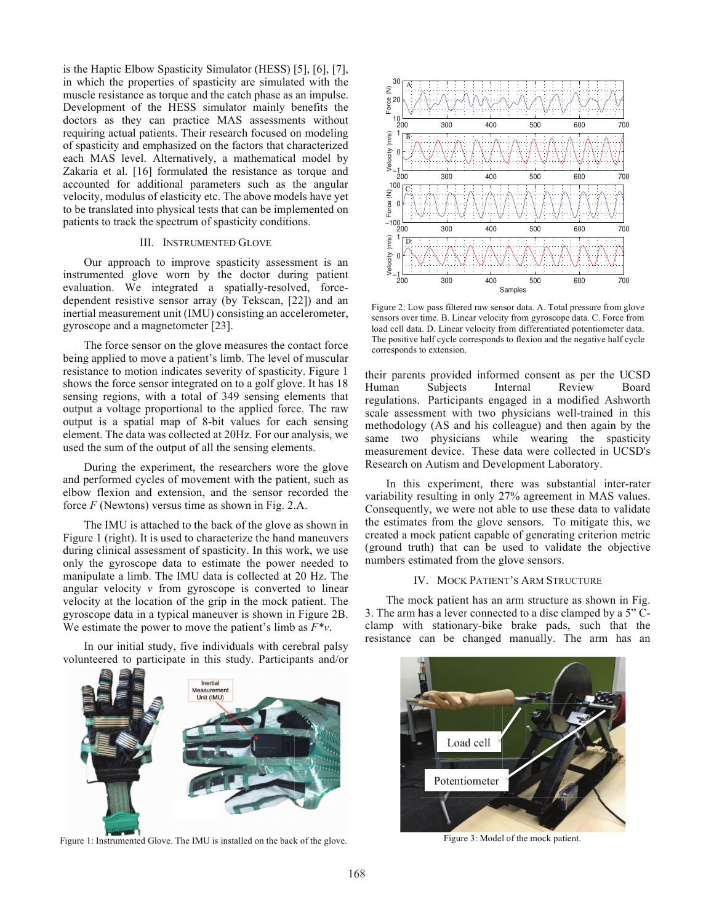is the Haptic Elbow Spasticity Simulator (HESS) [5], [6], [7], in which the properties of spasticity are simulated with the muscle resistance as torque and the catch phase as an impulse. Development of the HESS simulator mainly benefits the doctors as they can practice MAS assessments without requiring actual patients. Their research focused on modeling of spasticity and emphasized on the factors that characterized each MAS level. Alternatively, a mathematical model by Zakaria et al. [16] formulated the resistance as torque and accounted for additional parameters such as the angular velocity, modulus of elasticity etc. The above models have yet to be translated into physical tests that can be implemented on patients to track the spectrum of spasticity conditions.

# III. INSTRUMENTED GLOVE

Our approach to improve spasticity assessment is an instrumented glove worn by the doctor during patient evaluation. We integrated a spatially-resolved, forcedependent resistive sensor array (by Tekscan, [22]) and an inertial measurement unit (IMU) consisting an accelerometer, gyroscope and a magnetometer [23].

The force sensor on the glove measures the contact force being applied to move a patient's limb. The level of muscular resistance to motion indicates severity of spasticity. Figure 1 shows the force sensor integrated on to a golf glove. It has 18 sensing regions, with a total of 349 sensing elements that output a voltage proportional to the applied force. The raw output is a spatial map of 8-bit values for each sensing element. The data was collected at 20Hz. For our analysis, we used the sum of the output of all the sensing elements.

During the experiment, the researchers wore the glove and performed cycles of movement with the patient, such as elbow flexion and extension, and the sensor recorded the force *F* (Newtons) versus time as shown in Fig. 2.A.

The IMU is attached to the back of the glove as shown in Figure 1 (right). It is used to characterize the hand maneuvers during clinical assessment of spasticity. In this work, we use only the gyroscope data to estimate the power needed to manipulate a limb. The IMU data is collected at 20 Hz. The angular velocity  $\nu$  from gyroscope is converted to linear velocity at the location of the grip in the mock patient. The gyroscope data in a typical maneuver is shown in Figure 2B. We estimate the power to move the patient's limb as *F\*v*.

In our initial study, five individuals with cerebral palsy volunteered to participate in this study. Participants and/or



Figure 1: Instrumented Glove. The IMU is installed on the back of the glove.



Figure 2: Low pass filtered raw sensor data. A. Total pressure from glove sensors over time. B. Linear velocity from gyroscope data. C. Force from load cell data. D. Linear velocity from differentiated potentiometer data. The positive half cycle corresponds to flexion and the negative half cycle corresponds to extension.

their parents provided informed consent as per the UCSD Human Subjects Internal Review Board regulations. Participants engaged in a modified Ashworth scale assessment with two physicians well-trained in this methodology (AS and his colleague) and then again by the same two physicians while wearing the spasticity measurement device. These data were collected in UCSD's Research on Autism and Development Laboratory.

In this experiment, there was substantial inter-rater variability resulting in only 27% agreement in MAS values. Consequently, we were not able to use these data to validate the estimates from the glove sensors. To mitigate this, we created a mock patient capable of generating criterion metric (ground truth) that can be used to validate the objective numbers estimated from the glove sensors.

### IV. MOCK PATIENT'S ARM STRUCTURE

The mock patient has an arm structure as shown in Fig. 3. The arm has a lever connected to a disc clamped by a 5" Cclamp with stationary-bike brake pads, such that the resistance can be changed manually. The arm has an



Figure 3: Model of the mock patient.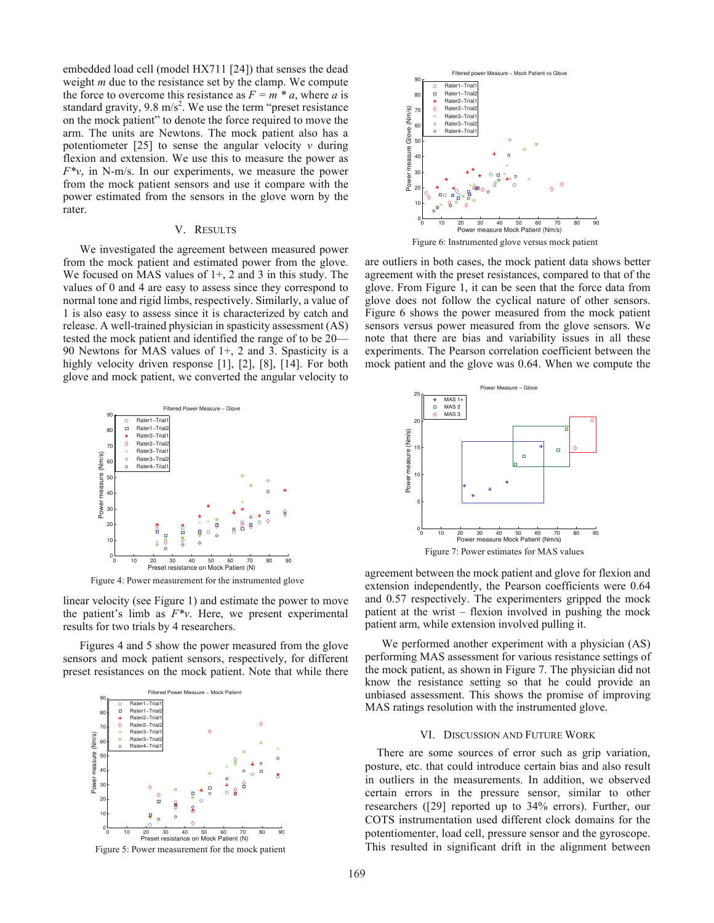embedded load cell (model HX711 [24]) that senses the dead weight *m* due to the resistance set by the clamp. We compute the force to overcome this resistance as  $F = m * a$ , where *a* is standard gravity, 9.8  $m/s<sup>2</sup>$ . We use the term "preset resistance" on the mock patient" to denote the force required to move the arm. The units are Newtons. The mock patient also has a potentiometer  $[25]$  to sense the angular velocity  $\nu$  during flexion and extension. We use this to measure the power as  $F^*v$ , in N-m/s. In our experiments, we measure the power from the mock patient sensors and use it compare with the power estimated from the sensors in the glove worn by the rater.

# V. RESULTS

We investigated the agreement between measured power from the mock patient and estimated power from the glove. We focused on MAS values of  $1+$ , 2 and 3 in this study. The values of 0 and 4 are easy to assess since they correspond to normal tone and rigid limbs, respectively. Similarly, a value of 1 is also easy to assess since it is characterized by catch and release. A well-trained physician in spasticity assessment (AS) tested the mock patient and identified the range of to be 20— 90 Newtons for MAS values of 1+, 2 and 3. Spasticity is a highly velocity driven response [1], [2], [8], [14]. For both glove and mock patient, we converted the angular velocity to



Figure 4: Power measurement for the instrumented glove

linear velocity (see Figure 1) and estimate the power to move the patient's limb as  $F^*v$ . Here, we present experimental results for two trials by 4 researchers.

Figures 4 and 5 show the power measured from the glove sensors and mock patient sensors, respectively, for different preset resistances on the mock patient. Note that while there



Figure 5: Power measurement for the mock patient



are outliers in both cases, the mock patient data shows better agreement with the preset resistances, compared to that of the glove. From Figure 1, it can be seen that the force data from glove does not follow the cyclical nature of other sensors. Figure 6 shows the power measured from the mock patient sensors versus power measured from the glove sensors. We note that there are bias and variability issues in all these experiments. The Pearson correlation coefficient between the mock patient and the glove was 0.64. When we compute the



agreement between the mock patient and glove for flexion and extension independently, the Pearson coefficients were 0.64 and 0.57 respectively. The experimenters gripped the mock

patient at the wrist – flexion involved in pushing the mock

patient arm, while extension involved pulling it.

We performed another experiment with a physician (AS) performing MAS assessment for various resistance settings of the mock patient, as shown in Figure 7. The physician did not know the resistance setting so that he could provide an unbiased assessment. This shows the promise of improving MAS ratings resolution with the instrumented glove.

#### VI. DISCUSSION AND FUTURE WORK

There are some sources of error such as grip variation, posture, etc. that could introduce certain bias and also result in outliers in the measurements. In addition, we observed certain errors in the pressure sensor, similar to other researchers ([29] reported up to 34% errors). Further, our COTS instrumentation used different clock domains for the potentiomenter, load cell, pressure sensor and the gyroscope. This resulted in significant drift in the alignment between